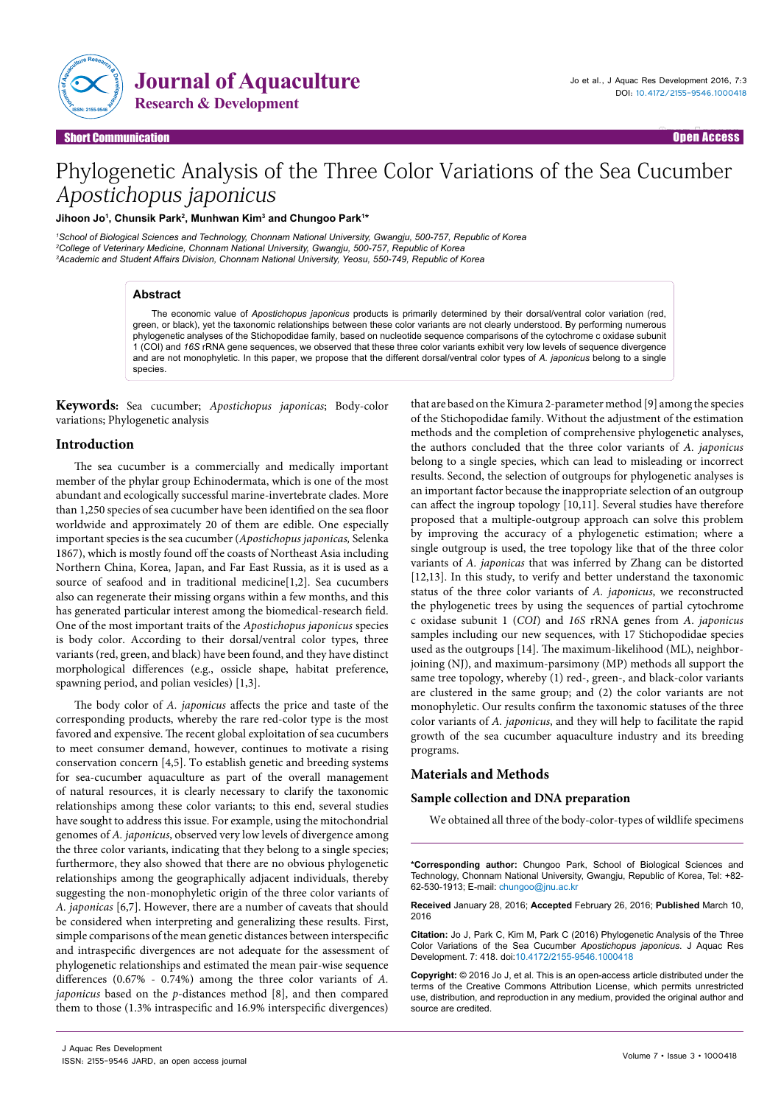

Open Access Open Access

# Phylogenetic Analysis of the Three Color Variations of the Sea Cucumber Apostichopus japonicus

## Jihoon Jo<sup>1</sup>, Chunsik Park<sup>2</sup>, Munhwan Kim<sup>3</sup> and Chungoo Park<sup>1</sup>\*

*1 School of Biological Sciences and Technology, Chonnam National University, Gwangju, 500-757, Republic of Korea 2 College of Veterinary Medicine, Chonnam National University, Gwangju, 500-757, Republic of Korea 3 Academic and Student Affairs Division, Chonnam National University, Yeosu, 550-749, Republic of Korea*

### **Abstract**

**hort Communication** 

The economic value of *Apostichopus japonicus* products is primarily determined by their dorsal/ventral color variation (red, green, or black), yet the taxonomic relationships between these color variants are not clearly understood. By performing numerous phylogenetic analyses of the Stichopodidae family, based on nucleotide sequence comparisons of the cytochrome c oxidase subunit 1 (COI) and *16S* rRNA gene sequences, we observed that these three color variants exhibit very low levels of sequence divergence and are not monophyletic. In this paper, we propose that the different dorsal/ventral color types of *A. japonicus* belong to a single species.

**Keywords:** Sea cucumber; *Apostichopus japonicas*; Body-color variations; Phylogenetic analysis

## **Introduction**

The sea cucumber is a commercially and medically important member of the phylar group Echinodermata, which is one of the most abundant and ecologically successful marine-invertebrate clades. More than 1,250 species of sea cucumber have been identified on the sea floor worldwide and approximately 20 of them are edible. One especially important species is the sea cucumber (*Apostichopus japonicas,* Selenka 1867), which is mostly found off the coasts of Northeast Asia including Northern China, Korea, Japan, and Far East Russia, as it is used as a source of seafood and in traditional medicine[1,2]. Sea cucumbers also can regenerate their missing organs within a few months, and this has generated particular interest among the biomedical-research field. One of the most important traits of the *Apostichopus japonicus* species is body color. According to their dorsal/ventral color types, three variants (red, green, and black) have been found, and they have distinct morphological differences (e.g., ossicle shape, habitat preference, spawning period, and polian vesicles) [1,3].

The body color of *A. japonicus* affects the price and taste of the corresponding products, whereby the rare red-color type is the most favored and expensive. The recent global exploitation of sea cucumbers to meet consumer demand, however, continues to motivate a rising conservation concern [4,5]. To establish genetic and breeding systems for sea-cucumber aquaculture as part of the overall management of natural resources, it is clearly necessary to clarify the taxonomic relationships among these color variants; to this end, several studies have sought to address this issue. For example, using the mitochondrial genomes of *A. japonicus*, observed very low levels of divergence among the three color variants, indicating that they belong to a single species; furthermore, they also showed that there are no obvious phylogenetic relationships among the geographically adjacent individuals, thereby suggesting the non-monophyletic origin of the three color variants of *A. japonicas* [6,7]. However, there are a number of caveats that should be considered when interpreting and generalizing these results. First, simple comparisons of the mean genetic distances between interspecific and intraspecific divergences are not adequate for the assessment of phylogenetic relationships and estimated the mean pair-wise sequence differences (0.67% - 0.74%) among the three color variants of *A. japonicus* based on the *p*-distances method [8], and then compared them to those (1.3% intraspecific and 16.9% interspecific divergences)

that are based on the Kimura 2-parameter method [9] among the species of the Stichopodidae family. Without the adjustment of the estimation methods and the completion of comprehensive phylogenetic analyses, the authors concluded that the three color variants of *A. japonicus* belong to a single species, which can lead to misleading or incorrect results. Second, the selection of outgroups for phylogenetic analyses is an important factor because the inappropriate selection of an outgroup can affect the ingroup topology [10,11]. Several studies have therefore proposed that a multiple-outgroup approach can solve this problem by improving the accuracy of a phylogenetic estimation; where a single outgroup is used, the tree topology like that of the three color variants of *A. japonicas* that was inferred by Zhang can be distorted [12,13]. In this study, to verify and better understand the taxonomic status of the three color variants of *A. japonicus*, we reconstructed the phylogenetic trees by using the sequences of partial cytochrome c oxidase subunit 1 (*COI*) and *16S* rRNA genes from *A*. *japonicus* samples including our new sequences, with 17 Stichopodidae species used as the outgroups [14]. The maximum-likelihood (ML), neighborjoining (NJ), and maximum-parsimony (MP) methods all support the same tree topology, whereby (1) red-, green-, and black-color variants are clustered in the same group; and (2) the color variants are not monophyletic. Our results confirm the taxonomic statuses of the three color variants of *A. japonicus*, and they will help to facilitate the rapid growth of the sea cucumber aquaculture industry and its breeding programs.

## **Materials and Methods**

#### **Sample collection and DNA preparation**

We obtained all three of the body-color-types of wildlife specimens

**\*Corresponding author:** Chungoo Park, School of Biological Sciences and Technology, Chonnam National University, Gwangju, Republic of Korea, Tel: +82- 62-530-1913; E-mail: chungoo@jnu.ac.kr

**Received** January 28, 2016; **Accepted** February 26, 2016; **Published** March 10, 2016

**Citation:** Jo J, Park C, Kim M, Park C (2016) Phylogenetic Analysis of the Three Color Variations of the Sea Cucumber *Apostichopus japonicus*. J Aquac Res Development. 7: 418. doi:10.4172/2155-9546.1000418

**Copyright:** © 2016 Jo J, et al. This is an open-access article distributed under the terms of the Creative Commons Attribution License, which permits unrestricted use, distribution, and reproduction in any medium, provided the original author and source are credited.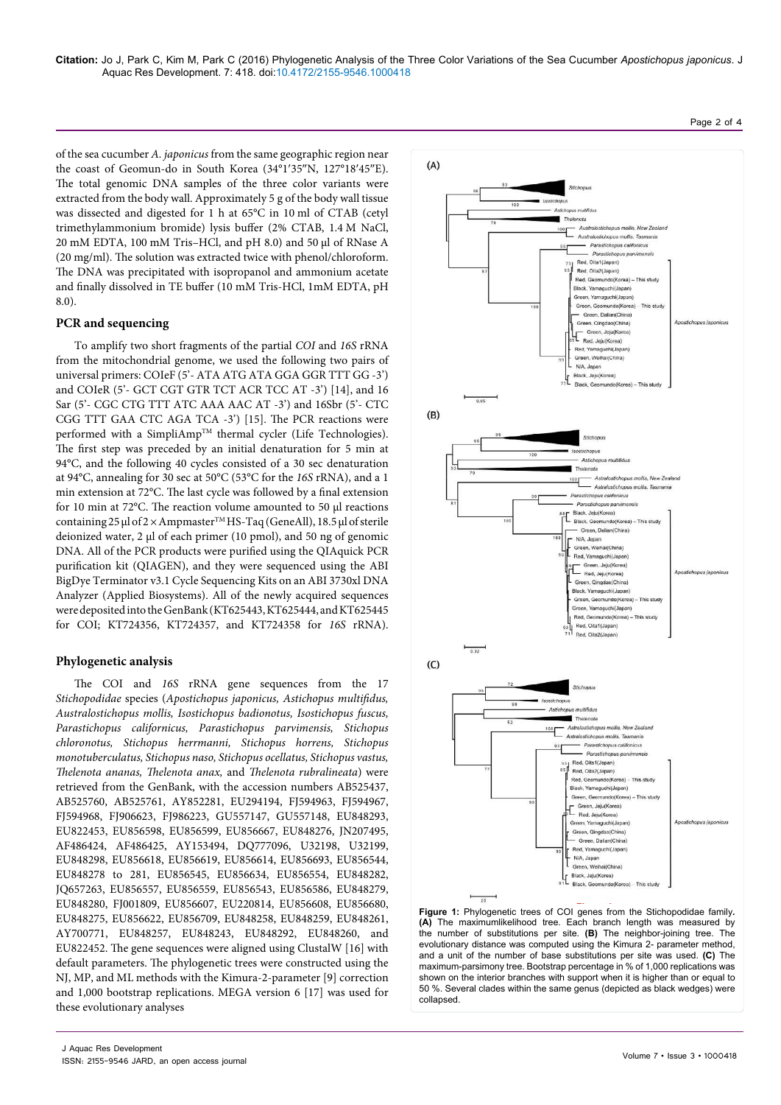**Citation:** Jo J, Park C, Kim M, Park C (2016) Phylogenetic Analysis of the Three Color Variations of the Sea Cucumber *Apostichopus japonicus*. J Aquac Res Development. 7: 418. doi:10.4172/2155-9546.1000418

of the sea cucumber *A. japonicus* from the same geographic region near the coast of Geomun-do in South Korea (34°1′35″[N, 127°18](https://tools.wmflabs.org/geohack/geohack.php?pagename=Port_Hamilton¶ms=34_1_35_N_127_18_45_E_type:isle)′45″E). The total genomic DNA samples of the three color variants were extracted from the body wall. Approximately 5 g of the body wall tissue was dissected and digested for 1 h at 65°C in 10 ml of CTAB (cetyl trimethylammonium bromide) lysis buffer (2% CTAB, 1.4 M NaCl, 20 mM EDTA, 100 mM Tris–HCl, and pH 8.0) and 50 μl of RNase A (20 mg/ml). The solution was extracted twice with phenol/chloroform. The DNA was precipitated with isopropanol and ammonium acetate and finally dissolved in TE buffer (10 mM Tris-HCl, 1mM EDTA, pH 8.0).

## **PCR and sequencing**

To amplify two short fragments of the partial *COI* and *16S* rRNA from the mitochondrial genome, we used the following two pairs of universal primers: COIeF (5'- ATA ATG ATA GGA GGR TTT GG -3') and COIeR (5'- GCT CGT GTR TCT ACR TCC AT -3') [14], and 16 Sar (5'- CGC CTG TTT ATC AAA AAC AT -3') and 16Sbr (5'- CTC CGG TTT GAA CTC AGA TCA -3') [15]. The PCR reactions were performed with a SimpliAmp™ thermal cycler (Life Technologies). The first step was preceded by an initial denaturation for 5 min at 94°C, and the following 40 cycles consisted of a 30 sec denaturation at 94°C, annealing for 30 sec at 50°C (53°C for the *16S* rRNA), and a 1 min extension at 72°C. The last cycle was followed by a final extension for 10 min at 72°C. The reaction volume amounted to 50 μl reactions containing 25 μl of 2 × AmpmasterTM HS-Taq (GeneAll), 18.5 μl of sterile deionized water, 2 μl of each primer (10 pmol), and 50 ng of genomic DNA. All of the PCR products were purified using the QIAquick PCR purification kit (QIAGEN), and they were sequenced using the ABI BigDye Terminator v3.1 Cycle Sequencing Kits on an ABI 3730xl DNA Analyzer (Applied Biosystems). All of the newly acquired sequences were deposited into the GenBank (KT625443, KT625444, and KT625445 for COI; KT724356, KT724357, and KT724358 for *16S* rRNA).

## **Phylogenetic analysis**

The COI and *16S* rRNA gene sequences from the 17 *Stichopodidae* species (*Apostichopus japonicus, Astichopus multifidus, Australostichopus mollis, Isostichopus badionotus, Isostichopus fuscus, Parastichopus californicus, Parastichopus parvimensis, Stichopus chloronotus, Stichopus herrmanni, Stichopus horrens, Stichopus monotuberculatus, Stichopus naso, Stichopus ocellatus, Stichopus vastus, Thelenota ananas, Thelenota anax,* and *Thelenota rubralineata*) were retrieved from the GenBank, with the accession numbers AB525437, AB525760, AB525761, AY852281, EU294194, FJ594963, FJ594967, FJ594968, FJ906623, FJ986223, GU557147, GU557148, EU848293, EU822453, EU856598, EU856599, EU856667, EU848276, JN207495, AF486424, AF486425, AY153494, DQ777096, U32198, U32199, EU848298, EU856618, EU856619, EU856614, EU856693, EU856544, EU848278 to 281, EU856545, EU856634, EU856554, EU848282, JQ657263, EU856557, EU856559, EU856543, EU856586, EU848279, EU848280, FJ001809, EU856607, EU220814, EU856608, EU856680, EU848275, EU856622, EU856709, EU848258, EU848259, EU848261, AY700771, EU848257, EU848243, EU848292, EU848260, and EU822452. The gene sequences were aligned using ClustalW [16] with default parameters. The phylogenetic trees were constructed using the NJ, MP, and ML methods with the Kimura-2-parameter [9] correction and 1,000 bootstrap replications. MEGA version 6 [17] was used for these evolutionary analyses



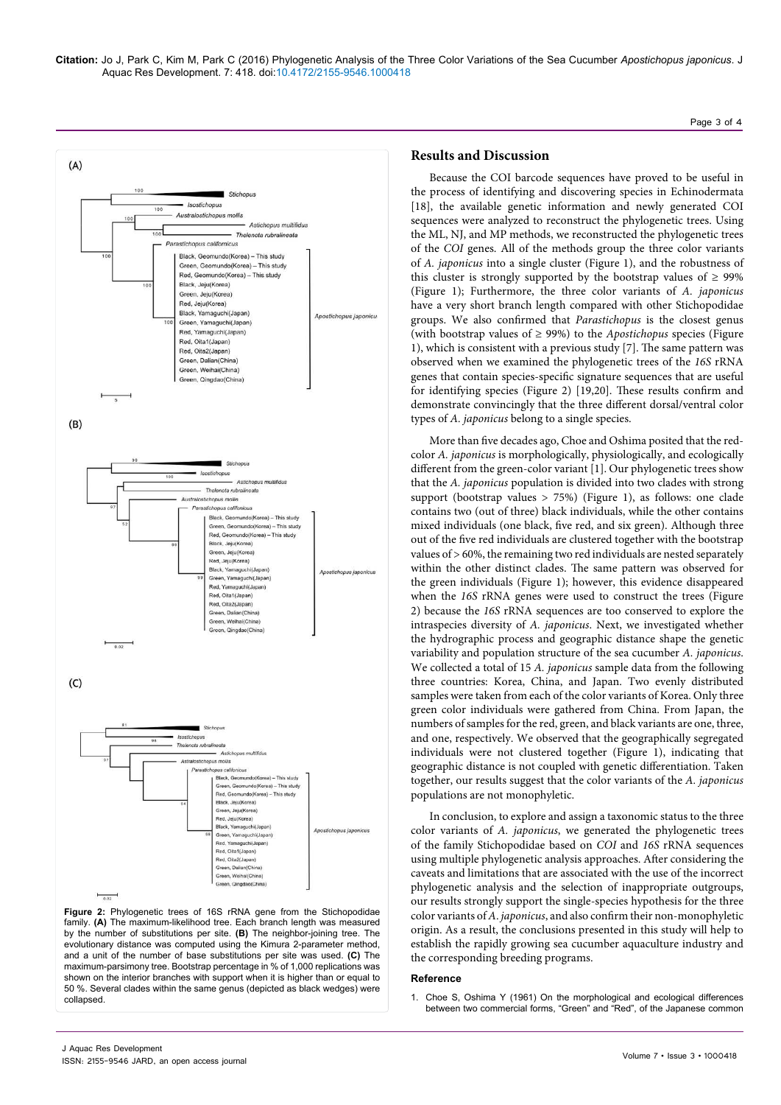**Citation:** Jo J, Park C, Kim M, Park C (2016) Phylogenetic Analysis of the Three Color Variations of the Sea Cucumber *Apostichopus japonicus*. J Aquac Res Development. 7: 418. doi:10.4172/2155-9546.1000418

Page 3 of 4



**Figure 2:** Phylogenetic trees of 16S rRNA gene from the Stichopodidae family. **(A)** The maximum-likelihood tree. Each branch length was measured by the number of substitutions per site. **(B)** The neighbor-joining tree. The evolutionary distance was computed using the Kimura 2-parameter method, and a unit of the number of base substitutions per site was used. **(C)** The maximum-parsimony tree. Bootstrap percentage in % of 1,000 replications was shown on the interior branches with support when it is higher than or equal to 50 %. Several clades within the same genus (depicted as black wedges) were collapsed.

# **Results and Discussion**

Because the COI barcode sequences have proved to be useful in the process of identifying and discovering species in Echinodermata [18], the available genetic information and newly generated COI sequences were analyzed to reconstruct the phylogenetic trees. Using the ML, NJ, and MP methods, we reconstructed the phylogenetic trees of the *COI* genes. All of the methods group the three color variants of *A. japonicus* into a single cluster (Figure 1), and the robustness of this cluster is strongly supported by the bootstrap values of  $\geq$  99% (Figure 1); Furthermore, the three color variants of *A. japonicus* have a very short branch length compared with other Stichopodidae groups. We also confirmed that *Parastichopus* is the closest genus (with bootstrap values of ≥ 99%) to the *Apostichopus* species (Figure 1), which is consistent with a previous study [7]. The same pattern was observed when we examined the phylogenetic trees of the *16S* rRNA genes that contain species-specific signature sequences that are useful for identifying species (Figure 2) [19,20]. These results confirm and demonstrate convincingly that the three different dorsal/ventral color types of *A. japonicus* belong to a single species.

More than five decades ago, Choe and Oshima posited that the redcolor *A. japonicus* is morphologically, physiologically, and ecologically different from the green-color variant [1]. Our phylogenetic trees show that the *A. japonicus* population is divided into two clades with strong support (bootstrap values  $> 75\%$ ) (Figure 1), as follows: one clade contains two (out of three) black individuals, while the other contains mixed individuals (one black, five red, and six green). Although three out of the five red individuals are clustered together with the bootstrap values of > 60%, the remaining two red individuals are nested separately within the other distinct clades. The same pattern was observed for the green individuals (Figure 1); however, this evidence disappeared when the *16S* rRNA genes were used to construct the trees (Figure 2) because the *16S* rRNA sequences are too conserved to explore the intraspecies diversity of *A. japonicus*. Next, we investigated whether the hydrographic process and geographic distance shape the genetic variability and population structure of the sea cucumber *A. japonicus*. We collected a total of 15 *A. japonicus* sample data from the following three countries: Korea, China, and Japan. Two evenly distributed samples were taken from each of the color variants of Korea. Only three green color individuals were gathered from China. From Japan, the numbers of samples for the red, green, and black variants are one, three, and one, respectively. We observed that the geographically segregated individuals were not clustered together (Figure 1), indicating that geographic distance is not coupled with genetic differentiation. Taken together, our results suggest that the color variants of the *A. japonicus* populations are not monophyletic.

In conclusion, to explore and assign a taxonomic status to the three color variants of *A. japonicus*, we generated the phylogenetic trees of the family Stichopodidae based on *COI* and *16S* rRNA sequences using multiple phylogenetic analysis approaches. After considering the caveats and limitations that are associated with the use of the incorrect phylogenetic analysis and the selection of inappropriate outgroups, our results strongly support the single-species hypothesis for the three color variants of *A*. *japonicus*, and also confirm their non-monophyletic origin. As a result, the conclusions presented in this study will help to establish the rapidly growing sea cucumber aquaculture industry and the corresponding breeding programs.

#### **Reference**

1. [Choe S, Oshima Y \(1961\) On the morphological and ecological differences](https://www.jstage.jst.go.jp/article/suisan1932/27/2/27_2_97/_article)  [between two commercial forms, "Green" and "Red", of the Japanese common](https://www.jstage.jst.go.jp/article/suisan1932/27/2/27_2_97/_article)